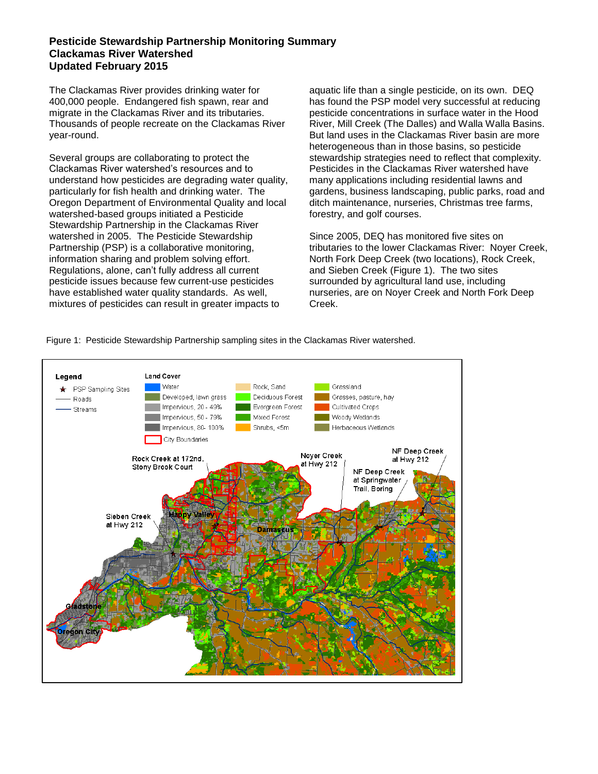## **Pesticide Stewardship Partnership Monitoring Summary Clackamas River Watershed Updated February 2015**

The Clackamas River provides drinking water for 400,000 people. Endangered fish spawn, rear and migrate in the Clackamas River and its tributaries. Thousands of people recreate on the Clackamas River year-round.

Several groups are collaborating to protect the Clackamas River watershed's resources and to understand how pesticides are degrading water quality, particularly for fish health and drinking water. The Oregon Department of Environmental Quality and local watershed-based groups initiated a Pesticide Stewardship Partnership in the Clackamas River watershed in 2005. The Pesticide Stewardship Partnership (PSP) is a collaborative monitoring, information sharing and problem solving effort. Regulations, alone, can't fully address all current pesticide issues because few current-use pesticides have established water quality standards. As well, mixtures of pesticides can result in greater impacts to

aquatic life than a single pesticide, on its own. DEQ has found the PSP model very successful at reducing pesticide concentrations in surface water in the Hood River, Mill Creek (The Dalles) and Walla Walla Basins. But land uses in the Clackamas River basin are more heterogeneous than in those basins, so pesticide stewardship strategies need to reflect that complexity. Pesticides in the Clackamas River watershed have many applications including residential lawns and gardens, business landscaping, public parks, road and ditch maintenance, nurseries, Christmas tree farms, forestry, and golf courses.

Since 2005, DEQ has monitored five sites on tributaries to the lower Clackamas River: Noyer Creek, North Fork Deep Creek (two locations), Rock Creek, and Sieben Creek (Figure 1). The two sites surrounded by agricultural land use, including nurseries, are on Noyer Creek and North Fork Deep Creek.

Figure 1: Pesticide Stewardship Partnership sampling sites in the Clackamas River watershed.

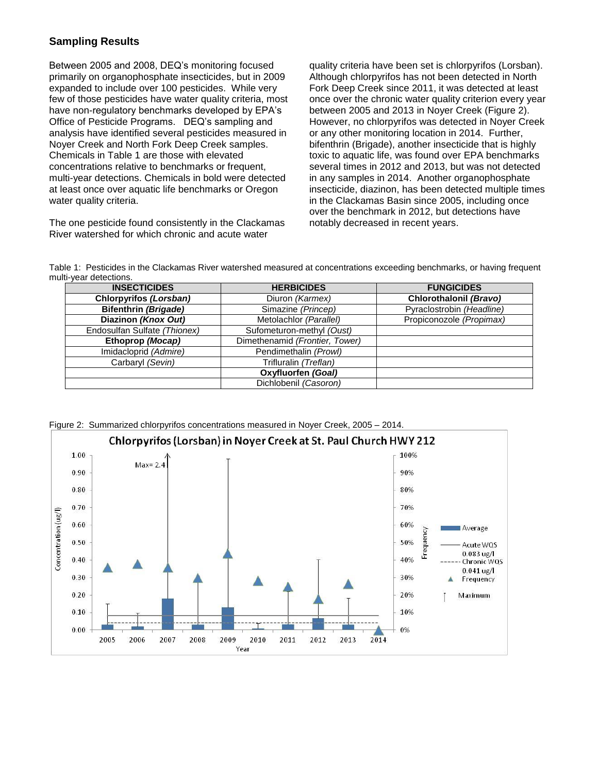## **Sampling Results**

Between 2005 and 2008, DEQ's monitoring focused primarily on organophosphate insecticides, but in 2009 expanded to include over 100 pesticides. While very few of those pesticides have water quality criteria, most have non-regulatory benchmarks developed by EPA's Office of Pesticide Programs. DEQ's sampling and analysis have identified several pesticides measured in Noyer Creek and North Fork Deep Creek samples. Chemicals in Table 1 are those with elevated concentrations relative to benchmarks or frequent, multi-year detections. Chemicals in bold were detected at least once over aquatic life benchmarks or Oregon water quality criteria.

The one pesticide found consistently in the Clackamas River watershed for which chronic and acute water

quality criteria have been set is chlorpyrifos (Lorsban). Although chlorpyrifos has not been detected in North Fork Deep Creek since 2011, it was detected at least once over the chronic water quality criterion every year between 2005 and 2013 in Noyer Creek (Figure 2). However, no chlorpyrifos was detected in Noyer Creek or any other monitoring location in 2014. Further, bifenthrin (Brigade), another insecticide that is highly toxic to aquatic life, was found over EPA benchmarks several times in 2012 and 2013, but was not detected in any samples in 2014. Another organophosphate insecticide, diazinon, has been detected multiple times in the Clackamas Basin since 2005, including once over the benchmark in 2012, but detections have notably decreased in recent years.

Table 1: Pesticides in the Clackamas River watershed measured at concentrations exceeding benchmarks, or having frequent multi-year detections.

| <b>INSECTICIDES</b>          | <b>HERBICIDES</b>              | <b>FUNGICIDES</b>         |
|------------------------------|--------------------------------|---------------------------|
| Chlorpyrifos (Lorsban)       | Diuron (Karmex)                | Chlorothalonil (Bravo)    |
| <b>Bifenthrin (Brigade)</b>  | Simazine (Princep)             | Pyraclostrobin (Headline) |
| Diazinon (Knox Out)          | Metolachlor (Parallel)         | Propiconozole (Propimax)  |
| Endosulfan Sulfate (Thionex) | Sufometuron-methyl (Oust)      |                           |
| Ethoprop (Mocap)             | Dimethenamid (Frontier, Tower) |                           |
| Imidacloprid (Admire)        | Pendimethalin (Prowl)          |                           |
| Carbaryl (Sevin)             | Trifluralin (Treflan)          |                           |
|                              | Oxyfluorfen (Goal)             |                           |
|                              | Dichlobenil (Casoron)          |                           |

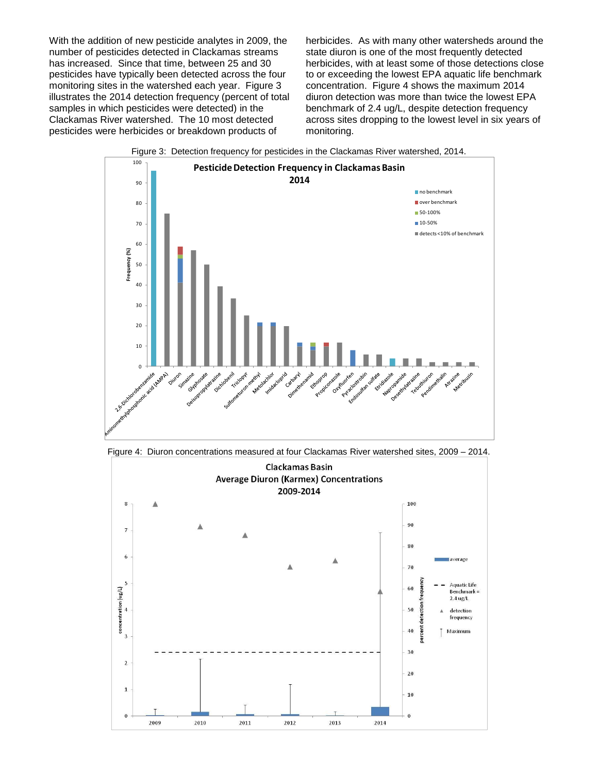With the addition of new pesticide analytes in 2009, the number of pesticides detected in Clackamas streams has increased. Since that time, between 25 and 30 pesticides have typically been detected across the four monitoring sites in the watershed each year. Figure 3 illustrates the 2014 detection frequency (percent of total samples in which pesticides were detected) in the Clackamas River watershed. The 10 most detected pesticides were herbicides or breakdown products of

herbicides. As with many other watersheds around the state diuron is one of the most frequently detected herbicides, with at least some of those detections close to or exceeding the lowest EPA aquatic life benchmark concentration. Figure 4 shows the maximum 2014 diuron detection was more than twice the lowest EPA benchmark of 2.4 ug/L, despite detection frequency across sites dropping to the lowest level in six years of monitoring.



Figure 4: Diuron concentrations measured at four Clackamas River watershed sites, 2009 – 2014.